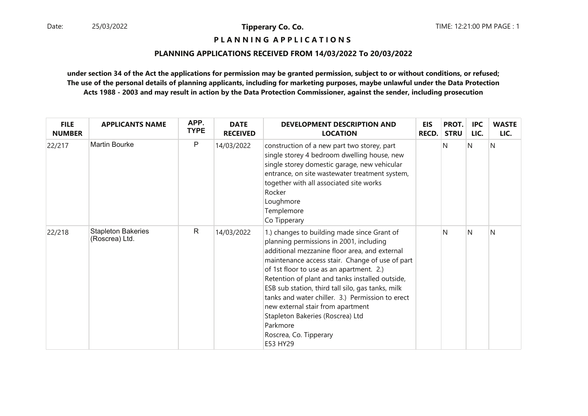**P L A N N I N G A P P L I C A T I O N S** 

# **PLANNING APPLICATIONS RECEIVED FROM 14/03/2022 To 20/03/2022**

| <b>FILE</b><br><b>NUMBER</b> | <b>APPLICANTS NAME</b>                      | APP.<br><b>TYPE</b> | <b>DATE</b><br><b>RECEIVED</b> | DEVELOPMENT DESCRIPTION AND<br><b>LOCATION</b>                                                                                                                                                                                                                                                                                                                                                                                                                                                                                | <b>EIS</b><br><b>RECD.</b> | PROT.<br><b>STRU</b> | <b>IPC</b><br>LIC. | <b>WASTE</b><br>LIC. |
|------------------------------|---------------------------------------------|---------------------|--------------------------------|-------------------------------------------------------------------------------------------------------------------------------------------------------------------------------------------------------------------------------------------------------------------------------------------------------------------------------------------------------------------------------------------------------------------------------------------------------------------------------------------------------------------------------|----------------------------|----------------------|--------------------|----------------------|
| 22/217                       | <b>Martin Bourke</b>                        | P                   | 14/03/2022                     | construction of a new part two storey, part<br>single storey 4 bedroom dwelling house, new<br>single storey domestic garage, new vehicular<br>entrance, on site wastewater treatment system,<br>together with all associated site works<br>Rocker<br>Loughmore<br>Templemore<br>Co Tipperary                                                                                                                                                                                                                                  |                            | N                    | N                  | Ν                    |
| 22/218                       | <b>Stapleton Bakeries</b><br>(Roscrea) Ltd. | $\mathsf{R}$        | 14/03/2022                     | 1.) changes to building made since Grant of<br>planning permissions in 2001, including<br>additional mezzanine floor area, and external<br>maintenance access stair. Change of use of part<br>of 1st floor to use as an apartment. 2.)<br>Retention of plant and tanks installed outside,<br>ESB sub station, third tall silo, gas tanks, milk<br>tanks and water chiller. 3.) Permission to erect<br>new external stair from apartment<br>Stapleton Bakeries (Roscrea) Ltd<br>Parkmore<br>Roscrea, Co. Tipperary<br>E53 HY29 |                            | N                    | N                  | Ν                    |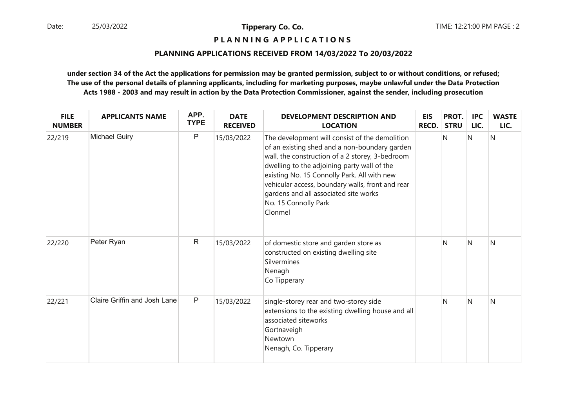**P L A N N I N G A P P L I C A T I O N S** 

# **PLANNING APPLICATIONS RECEIVED FROM 14/03/2022 To 20/03/2022**

| <b>FILE</b><br><b>NUMBER</b> | <b>APPLICANTS NAME</b>       | APP.<br><b>TYPE</b> | <b>DATE</b><br><b>RECEIVED</b> | <b>DEVELOPMENT DESCRIPTION AND</b><br><b>LOCATION</b>                                                                                                                                                                                                                                                                                                                            | <b>EIS</b><br><b>RECD.</b> | PROT.<br><b>STRU</b> | <b>IPC</b><br>LIC. | <b>WASTE</b><br>LIC. |
|------------------------------|------------------------------|---------------------|--------------------------------|----------------------------------------------------------------------------------------------------------------------------------------------------------------------------------------------------------------------------------------------------------------------------------------------------------------------------------------------------------------------------------|----------------------------|----------------------|--------------------|----------------------|
| 22/219                       | <b>Michael Guiry</b>         | $\mathsf{P}$        | 15/03/2022                     | The development will consist of the demolition<br>of an existing shed and a non-boundary garden<br>wall, the construction of a 2 storey, 3-bedroom<br>dwelling to the adjoining party wall of the<br>existing No. 15 Connolly Park. All with new<br>vehicular access, boundary walls, front and rear<br>gardens and all associated site works<br>No. 15 Connolly Park<br>Clonmel |                            | N                    | N                  | N                    |
| 22/220                       | Peter Ryan                   | $\mathsf{R}$        | 15/03/2022                     | of domestic store and garden store as<br>constructed on existing dwelling site<br>Silvermines<br>Nenagh<br>Co Tipperary                                                                                                                                                                                                                                                          |                            | N                    | N                  | N                    |
| 22/221                       | Claire Griffin and Josh Lane | $\mathsf{P}$        | 15/03/2022                     | single-storey rear and two-storey side<br>extensions to the existing dwelling house and all<br>associated siteworks<br>Gortnaveigh<br>Newtown<br>Nenagh, Co. Tipperary                                                                                                                                                                                                           |                            | N                    | N                  | N                    |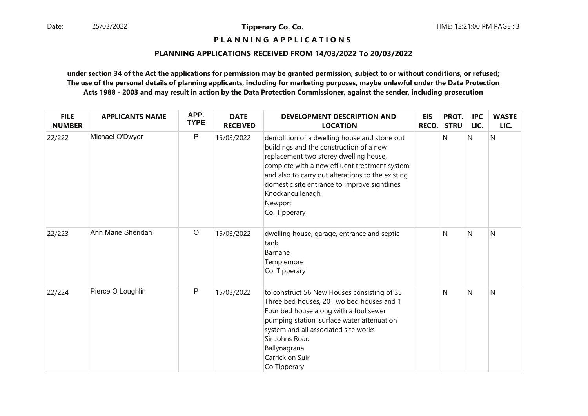**P L A N N I N G A P P L I C A T I O N S** 

# **PLANNING APPLICATIONS RECEIVED FROM 14/03/2022 To 20/03/2022**

| <b>FILE</b><br><b>NUMBER</b> | <b>APPLICANTS NAME</b> | APP.<br><b>TYPE</b> | <b>DATE</b><br><b>RECEIVED</b> | <b>DEVELOPMENT DESCRIPTION AND</b><br><b>LOCATION</b>                                                                                                                                                                                                                                                                                   | <b>EIS</b><br><b>RECD.</b> | PROT.<br><b>STRU</b> | <b>IPC</b><br>LIC. | <b>WASTE</b><br>LIC. |
|------------------------------|------------------------|---------------------|--------------------------------|-----------------------------------------------------------------------------------------------------------------------------------------------------------------------------------------------------------------------------------------------------------------------------------------------------------------------------------------|----------------------------|----------------------|--------------------|----------------------|
| 22/222                       | Michael O'Dwyer        | $\mathsf P$         | 15/03/2022                     | demolition of a dwelling house and stone out<br>buildings and the construction of a new<br>replacement two storey dwelling house,<br>complete with a new effluent treatment system<br>and also to carry out alterations to the existing<br>domestic site entrance to improve sightlines<br>Knockancullenagh<br>Newport<br>Co. Tipperary |                            | N                    | $\mathsf{N}$       | N                    |
| 22/223                       | Ann Marie Sheridan     | $\circ$             | 15/03/2022                     | dwelling house, garage, entrance and septic<br>tank<br>Barnane<br>Templemore<br>Co. Tipperary                                                                                                                                                                                                                                           |                            | N                    | N                  | N                    |
| 22/224                       | Pierce O Loughlin      | $\mathsf{P}$        | 15/03/2022                     | to construct 56 New Houses consisting of 35<br>Three bed houses, 20 Two bed houses and 1<br>Four bed house along with a foul sewer<br>pumping station, surface water attenuation<br>system and all associated site works<br>Sir Johns Road<br>Ballynagrana<br>Carrick on Suir<br>Co Tipperary                                           |                            | N                    | N                  | N                    |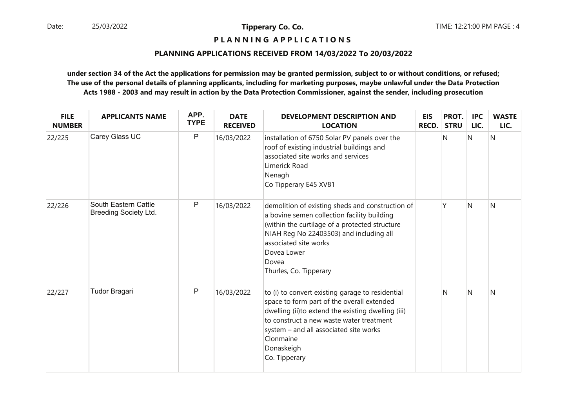**P L A N N I N G A P P L I C A T I O N S** 

# **PLANNING APPLICATIONS RECEIVED FROM 14/03/2022 To 20/03/2022**

| <b>FILE</b><br><b>NUMBER</b> | <b>APPLICANTS NAME</b>                               | APP.<br><b>TYPE</b> | <b>DATE</b><br><b>RECEIVED</b> | DEVELOPMENT DESCRIPTION AND<br><b>LOCATION</b>                                                                                                                                                                                                                                         | <b>EIS</b><br><b>RECD.</b> | PROT.<br><b>STRU</b> | <b>IPC</b><br>LIC. | <b>WASTE</b><br>LIC. |
|------------------------------|------------------------------------------------------|---------------------|--------------------------------|----------------------------------------------------------------------------------------------------------------------------------------------------------------------------------------------------------------------------------------------------------------------------------------|----------------------------|----------------------|--------------------|----------------------|
| 22/225                       | Carey Glass UC                                       | P                   | 16/03/2022                     | installation of 6750 Solar PV panels over the<br>roof of existing industrial buildings and<br>associated site works and services<br>Limerick Road<br>Nenagh<br>Co Tipperary E45 XV81                                                                                                   |                            | N                    | N                  | N                    |
| 22/226                       | South Eastern Cattle<br><b>Breeding Society Ltd.</b> | P                   | 16/03/2022                     | demolition of existing sheds and construction of<br>a bovine semen collection facility building<br>(within the curtilage of a protected structure<br>NIAH Reg No 22403503) and including all<br>associated site works<br>Dovea Lower<br>Dovea<br>Thurles, Co. Tipperary                |                            |                      | N                  | N                    |
| 22/227                       | <b>Tudor Bragari</b>                                 | $\mathsf{P}$        | 16/03/2022                     | to (i) to convert existing garage to residential<br>space to form part of the overall extended<br>dwelling (ii)to extend the existing dwelling (iii)<br>to construct a new waste water treatment<br>system - and all associated site works<br>Clonmaine<br>Donaskeigh<br>Co. Tipperary |                            | N                    | N                  | N                    |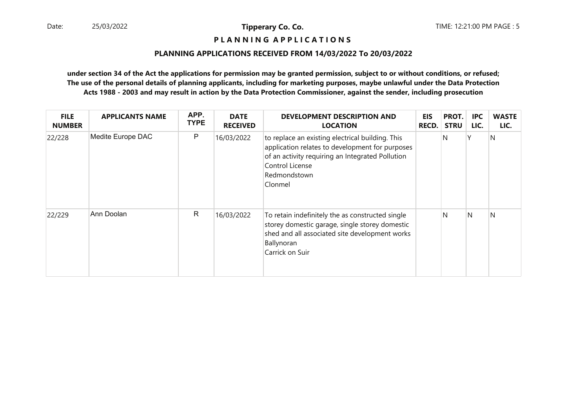# **P L A N N I N G A P P L I C A T I O N S**

### **PLANNING APPLICATIONS RECEIVED FROM 14/03/2022 To 20/03/2022**

| <b>FILE</b><br><b>NUMBER</b> | <b>APPLICANTS NAME</b> | APP.<br><b>TYPE</b> | <b>DATE</b><br><b>RECEIVED</b> | DEVELOPMENT DESCRIPTION AND<br><b>LOCATION</b>                                                                                                                                                        | <b>EIS</b><br><b>RECD.</b> | PROT.<br><b>STRU</b> | <b>IPC</b><br>LIC. | <b>WASTE</b><br>LIC. |
|------------------------------|------------------------|---------------------|--------------------------------|-------------------------------------------------------------------------------------------------------------------------------------------------------------------------------------------------------|----------------------------|----------------------|--------------------|----------------------|
| 22/228                       | Medite Europe DAC      | $\mathsf{P}$        | 16/03/2022                     | to replace an existing electrical building. This<br>application relates to development for purposes<br>of an activity requiring an Integrated Pollution<br>Control License<br>Redmondstown<br>Clonmel |                            | N                    | γ                  | N                    |
| 22/229                       | Ann Doolan             | $\mathsf{R}$        | 16/03/2022                     | To retain indefinitely the as constructed single<br>storey domestic garage, single storey domestic<br>shed and all associated site development works<br>Ballynoran<br>Carrick on Suir                 |                            | N                    | N                  | N                    |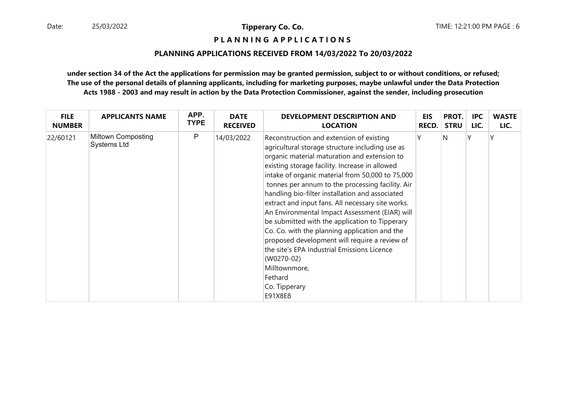**P L A N N I N G A P P L I C A T I O N S** 

### **PLANNING APPLICATIONS RECEIVED FROM 14/03/2022 To 20/03/2022**

| <b>FILE</b>   | <b>APPLICANTS NAME</b>                   | APP.        | <b>DATE</b>     | <b>DEVELOPMENT DESCRIPTION AND</b>                                                                                                                                                                                                                                                                                                                                                                                                                                                                                                                                                                                                                                                                                                       | <b>EIS</b> | PROT.       | <b>IPC</b> | <b>WASTE</b> |
|---------------|------------------------------------------|-------------|-----------------|------------------------------------------------------------------------------------------------------------------------------------------------------------------------------------------------------------------------------------------------------------------------------------------------------------------------------------------------------------------------------------------------------------------------------------------------------------------------------------------------------------------------------------------------------------------------------------------------------------------------------------------------------------------------------------------------------------------------------------------|------------|-------------|------------|--------------|
| <b>NUMBER</b> |                                          | <b>TYPE</b> | <b>RECEIVED</b> | <b>LOCATION</b>                                                                                                                                                                                                                                                                                                                                                                                                                                                                                                                                                                                                                                                                                                                          | RECD.      | <b>STRU</b> | LIC.       | LIC.         |
| 22/60121      | <b>Miltown Composting</b><br>Systems Ltd | P           | 14/03/2022      | Reconstruction and extension of existing<br>agricultural storage structure including use as<br>organic material maturation and extension to<br>existing storage facility. Increase in allowed<br>intake of organic material from 50,000 to 75,000<br>tonnes per annum to the processing facility. Air<br>handling bio-filter installation and associated<br>extract and input fans. All necessary site works.<br>An Environmental Impact Assessment (EIAR) will<br>be submitted with the application to Tipperary<br>Co. Co. with the planning application and the<br>proposed development will require a review of<br>the site's EPA Industrial Emissions Licence<br>(W0270-02)<br>Milltownmore,<br>Fethard<br>Co. Tipperary<br>E91X8E8 |            | N           |            |              |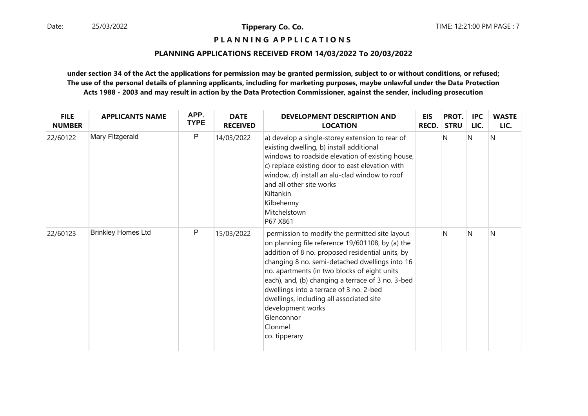**P L A N N I N G A P P L I C A T I O N S** 

# **PLANNING APPLICATIONS RECEIVED FROM 14/03/2022 To 20/03/2022**

| <b>FILE</b><br><b>NUMBER</b> | <b>APPLICANTS NAME</b>    | APP.<br><b>TYPE</b> | <b>DATE</b><br><b>RECEIVED</b> | DEVELOPMENT DESCRIPTION AND<br><b>LOCATION</b>                                                                                                                                                                                                                                                                                                                                                                                                                      | <b>EIS</b><br>RECD. | PROT.<br><b>STRU</b> | <b>IPC</b><br>LIC. | <b>WASTE</b><br>LIC. |
|------------------------------|---------------------------|---------------------|--------------------------------|---------------------------------------------------------------------------------------------------------------------------------------------------------------------------------------------------------------------------------------------------------------------------------------------------------------------------------------------------------------------------------------------------------------------------------------------------------------------|---------------------|----------------------|--------------------|----------------------|
| 22/60122                     | Mary Fitzgerald           | $\mathsf{P}$        | 14/03/2022                     | a) develop a single-storey extension to rear of<br>existing dwelling, b) install additional<br>windows to roadside elevation of existing house,<br>c) replace existing door to east elevation with<br>window, d) install an alu-clad window to roof<br>and all other site works<br>Kiltankin<br>Kilbehenny<br>Mitchelstown<br>P67 X861                                                                                                                              |                     | N                    | N                  | N                    |
| 22/60123                     | <b>Brinkley Homes Ltd</b> | $\mathsf{P}$        | 15/03/2022                     | permission to modify the permitted site layout<br>on planning file reference 19/601108, by (a) the<br>addition of 8 no. proposed residential units, by<br>changing 8 no. semi-detached dwellings into 16<br>no. apartments (in two blocks of eight units<br>each), and, (b) changing a terrace of 3 no. 3-bed<br>dwellings into a terrace of 3 no. 2-bed<br>dwellings, including all associated site<br>development works<br>Glenconnor<br>Clonmel<br>co. tipperary |                     | N                    | N                  | N                    |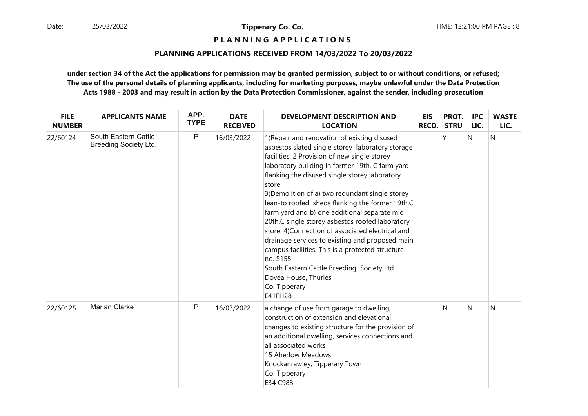**P L A N N I N G A P P L I C A T I O N S** 

# **PLANNING APPLICATIONS RECEIVED FROM 14/03/2022 To 20/03/2022**

| <b>FILE</b><br><b>NUMBER</b> | <b>APPLICANTS NAME</b>                               | APP.<br><b>TYPE</b> | <b>DATE</b><br><b>RECEIVED</b> | <b>DEVELOPMENT DESCRIPTION AND</b><br><b>LOCATION</b>                                                                                                                                                                                                                                                                                                                                                                                                                                                                                                                                                                                                                                                                                          | <b>EIS</b><br><b>RECD.</b> | PROT.<br><b>STRU</b> | <b>IPC</b><br>LIC. | <b>WASTE</b><br>LIC. |
|------------------------------|------------------------------------------------------|---------------------|--------------------------------|------------------------------------------------------------------------------------------------------------------------------------------------------------------------------------------------------------------------------------------------------------------------------------------------------------------------------------------------------------------------------------------------------------------------------------------------------------------------------------------------------------------------------------------------------------------------------------------------------------------------------------------------------------------------------------------------------------------------------------------------|----------------------------|----------------------|--------------------|----------------------|
| 22/60124                     | South Eastern Cattle<br><b>Breeding Society Ltd.</b> | $\mathsf{P}$        | 16/03/2022                     | 1) Repair and renovation of existing disused<br>asbestos slated single storey laboratory storage<br>facilities. 2 Provision of new single storey<br>laboratory building in former 19th. C farm yard<br>flanking the disused single storey laboratory<br>store<br>3) Demolition of a) two redundant single storey<br>lean-to roofed sheds flanking the former 19th.C<br>farm yard and b) one additional separate mid<br>20th.C single storey asbestos roofed laboratory<br>store. 4)Connection of associated electrical and<br>drainage services to existing and proposed main<br>campus facilities. This is a protected structure<br>no. S155<br>South Eastern Cattle Breeding Society Ltd<br>Dovea House, Thurles<br>Co. Tipperary<br>E41FH28 |                            | ٧                    | N                  | N                    |
| 22/60125                     | Marian Clarke                                        | P                   | 16/03/2022                     | a change of use from garage to dwelling,<br>construction of extension and elevational<br>changes to existing structure for the provision of<br>an additional dwelling, services connections and<br>all associated works<br>15 Aherlow Meadows<br>Knockanrawley, Tipperary Town<br>Co. Tipperary<br>E34 C983                                                                                                                                                                                                                                                                                                                                                                                                                                    |                            | N                    | N                  | N                    |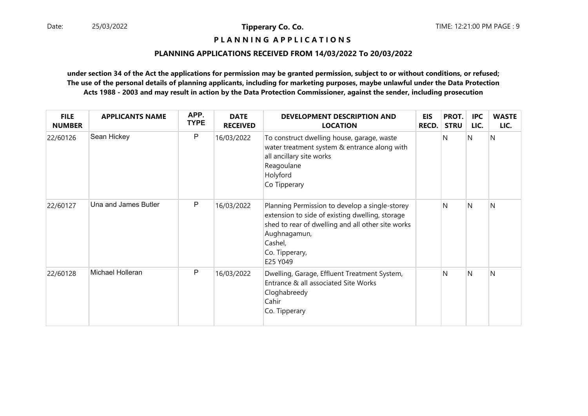**P L A N N I N G A P P L I C A T I O N S** 

# **PLANNING APPLICATIONS RECEIVED FROM 14/03/2022 To 20/03/2022**

| <b>FILE</b><br><b>NUMBER</b> | <b>APPLICANTS NAME</b> | APP.<br><b>TYPE</b> | <b>DATE</b><br><b>RECEIVED</b> | <b>DEVELOPMENT DESCRIPTION AND</b><br><b>LOCATION</b>                                                                                                                                                           | <b>EIS</b><br><b>RECD.</b> | PROT.<br><b>STRU</b> | IPC<br>LIC. | <b>WASTE</b><br>LIC. |
|------------------------------|------------------------|---------------------|--------------------------------|-----------------------------------------------------------------------------------------------------------------------------------------------------------------------------------------------------------------|----------------------------|----------------------|-------------|----------------------|
| 22/60126                     | Sean Hickey            | P                   | 16/03/2022                     | To construct dwelling house, garage, waste<br>water treatment system & entrance along with<br>all ancillary site works<br>Reagoulane<br>Holyford<br>Co Tipperary                                                |                            | N                    | N           | N                    |
| 22/60127                     | Una and James Butler   | P                   | 16/03/2022                     | Planning Permission to develop a single-storey<br>extension to side of existing dwelling, storage<br>shed to rear of dwelling and all other site works<br>Aughnagamun,<br>Cashel,<br>Co. Tipperary,<br>E25 Y049 |                            | N                    | N           | N                    |
| 22/60128                     | Michael Holleran       | P                   | 16/03/2022                     | Dwelling, Garage, Effluent Treatment System,<br>Entrance & all associated Site Works<br>Cloghabreedy<br>Cahir<br>Co. Tipperary                                                                                  |                            | N                    | N           | N                    |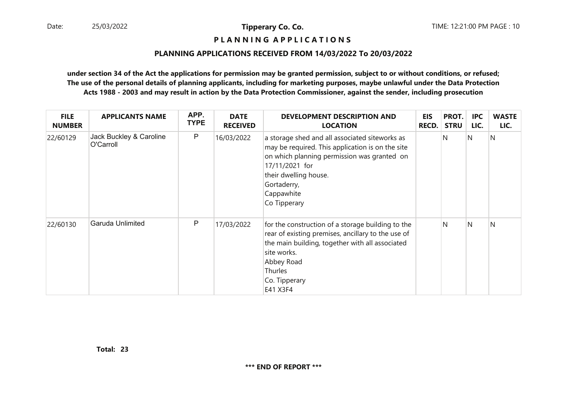# **P L A N N I N G A P P L I C A T I O N S**

#### **PLANNING APPLICATIONS RECEIVED FROM 14/03/2022 To 20/03/2022**

| <b>FILE</b><br><b>NUMBER</b> | <b>APPLICANTS NAME</b>               | APP.<br><b>TYPE</b> | <b>DATE</b><br><b>RECEIVED</b> | DEVELOPMENT DESCRIPTION AND<br><b>LOCATION</b>                                                                                                                                                                                            | <b>EIS</b><br><b>RECD.</b> | PROT.<br><b>STRU</b> | <b>IPC</b><br>LIC. | <b>WASTE</b><br>LIC. |
|------------------------------|--------------------------------------|---------------------|--------------------------------|-------------------------------------------------------------------------------------------------------------------------------------------------------------------------------------------------------------------------------------------|----------------------------|----------------------|--------------------|----------------------|
| 22/60129                     | Jack Buckley & Caroline<br>O'Carroll | $\mathsf{P}$        | 16/03/2022                     | a storage shed and all associated siteworks as<br>may be required. This application is on the site<br>on which planning permission was granted on<br>17/11/2021 for<br>their dwelling house.<br>Gortaderry,<br>Cappawhite<br>Co Tipperary |                            | N                    | N                  | N                    |
| 22/60130                     | Garuda Unlimited                     | $\mathsf{P}$        | 17/03/2022                     | for the construction of a storage building to the<br>rear of existing premises, ancillary to the use of<br>the main building, together with all associated<br>site works.<br>Abbey Road<br><b>Thurles</b><br>Co. Tipperary<br>E41 X3F4    |                            | N                    | IN.                | N                    |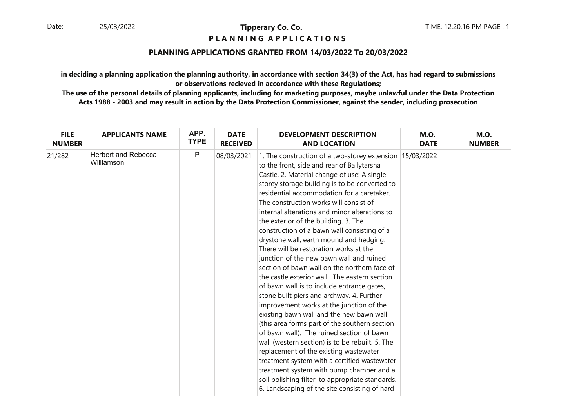# **P L A N N I N G A P P L I C A T I O N S**

# **PLANNING APPLICATIONS GRANTED FROM 14/03/2022 To 20/03/2022**

**in deciding a planning application the planning authority, in accordance with section 34(3) of the Act, has had regard to submissionsor observations recieved in accordance with these Regulations;**

| <b>FILE</b>   | <b>APPLICANTS NAME</b>                   | APP.        | <b>DATE</b>     | <b>DEVELOPMENT DESCRIPTION</b>                                                                                                                                                                                                                                                                                                                                                                                                                                                                                                                                                                                                                                                                                                                                                                                                                                                                                                                                                                                                                                                                                                                                                                                                                          | <b>M.O.</b> | <b>M.O.</b>   |
|---------------|------------------------------------------|-------------|-----------------|---------------------------------------------------------------------------------------------------------------------------------------------------------------------------------------------------------------------------------------------------------------------------------------------------------------------------------------------------------------------------------------------------------------------------------------------------------------------------------------------------------------------------------------------------------------------------------------------------------------------------------------------------------------------------------------------------------------------------------------------------------------------------------------------------------------------------------------------------------------------------------------------------------------------------------------------------------------------------------------------------------------------------------------------------------------------------------------------------------------------------------------------------------------------------------------------------------------------------------------------------------|-------------|---------------|
| <b>NUMBER</b> |                                          | <b>TYPE</b> | <b>RECEIVED</b> | <b>AND LOCATION</b>                                                                                                                                                                                                                                                                                                                                                                                                                                                                                                                                                                                                                                                                                                                                                                                                                                                                                                                                                                                                                                                                                                                                                                                                                                     | <b>DATE</b> | <b>NUMBER</b> |
| 21/282        | <b>Herbert and Rebecca</b><br>Williamson | P           | 08/03/2021      | 1. The construction of a two-storey extension 15/03/2022<br>to the front, side and rear of Ballytarsna<br>Castle. 2. Material change of use: A single<br>storey storage building is to be converted to<br>residential accommodation for a caretaker.<br>The construction works will consist of<br>internal alterations and minor alterations to<br>the exterior of the building. 3. The<br>construction of a bawn wall consisting of a<br>drystone wall, earth mound and hedging.<br>There will be restoration works at the<br>junction of the new bawn wall and ruined<br>section of bawn wall on the northern face of<br>the castle exterior wall. The eastern section<br>of bawn wall is to include entrance gates,<br>stone built piers and archway. 4. Further<br>improvement works at the junction of the<br>existing bawn wall and the new bawn wall<br>(this area forms part of the southern section<br>of bawn wall). The ruined section of bawn<br>wall (western section) is to be rebuilt. 5. The<br>replacement of the existing wastewater<br>treatment system with a certified wastewater<br>treatment system with pump chamber and a<br>soil polishing filter, to appropriate standards.<br>6. Landscaping of the site consisting of hard |             |               |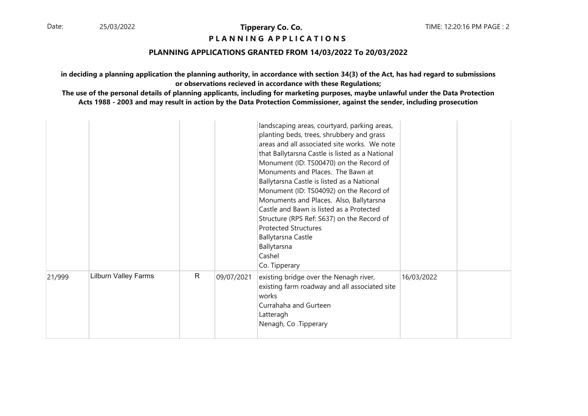# **P L A N N I N G A P P L I C A T I O N S**

# **PLANNING APPLICATIONS GRANTED FROM 14/03/2022 To 20/03/2022**

**in deciding a planning application the planning authority, in accordance with section 34(3) of the Act, has had regard to submissionsor observations recieved in accordance with these Regulations;**

|        |                             |              |            | landscaping areas, courtyard, parking areas,<br>planting beds, trees, shrubbery and grass<br>areas and all associated site works. We note<br>that Ballytarsna Castle is listed as a National<br>Monument (ID: TS00470) on the Record of<br>Monuments and Places. The Bawn at<br>Ballytarsna Castle is listed as a National<br>Monument (ID: TS04092) on the Record of<br>Monuments and Places. Also, Ballytarsna<br>Castle and Bawn is listed as a Protected<br>Structure (RPS Ref: S637) on the Record of<br><b>Protected Structures</b><br><b>Ballytarsna Castle</b><br>Ballytarsna<br>Cashel<br>Co. Tipperary |            |  |
|--------|-----------------------------|--------------|------------|------------------------------------------------------------------------------------------------------------------------------------------------------------------------------------------------------------------------------------------------------------------------------------------------------------------------------------------------------------------------------------------------------------------------------------------------------------------------------------------------------------------------------------------------------------------------------------------------------------------|------------|--|
| 21/999 | <b>Lilburn Valley Farms</b> | $\mathsf{R}$ | 09/07/2021 | existing bridge over the Nenagh river,<br>existing farm roadway and all associated site<br>works<br>Currahaha and Gurteen<br>Latteragh<br>Nenagh, Co. Tipperary                                                                                                                                                                                                                                                                                                                                                                                                                                                  | 16/03/2022 |  |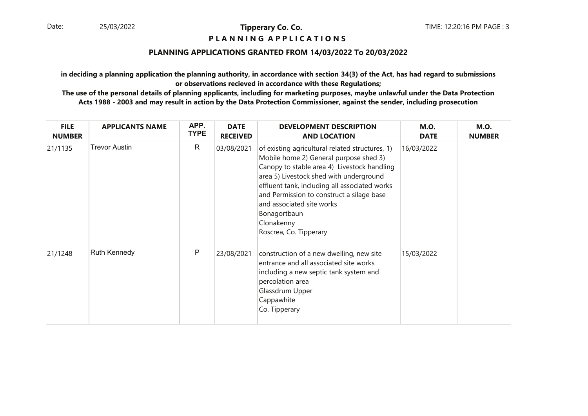# **P L A N N I N G A P P L I C A T I O N S**

# **PLANNING APPLICATIONS GRANTED FROM 14/03/2022 To 20/03/2022**

**in deciding a planning application the planning authority, in accordance with section 34(3) of the Act, has had regard to submissionsor observations recieved in accordance with these Regulations;**

| <b>FILE</b><br><b>NUMBER</b> | <b>APPLICANTS NAME</b> | APP.<br><b>TYPE</b> | <b>DATE</b><br><b>RECEIVED</b> | <b>DEVELOPMENT DESCRIPTION</b><br><b>AND LOCATION</b>                                                                                                                                                                                                                                                                                                                  | <b>M.O.</b><br><b>DATE</b> | <b>M.O.</b><br><b>NUMBER</b> |
|------------------------------|------------------------|---------------------|--------------------------------|------------------------------------------------------------------------------------------------------------------------------------------------------------------------------------------------------------------------------------------------------------------------------------------------------------------------------------------------------------------------|----------------------------|------------------------------|
| 21/1135                      | <b>Trevor Austin</b>   | R                   | 03/08/2021                     | of existing agricultural related structures, 1)<br>Mobile home 2) General purpose shed 3)<br>Canopy to stable area 4) Livestock handling<br>area 5) Livestock shed with underground<br>effluent tank, including all associated works<br>and Permission to construct a silage base<br>and associated site works<br>Bonagortbaun<br>Clonakenny<br>Roscrea, Co. Tipperary | 16/03/2022                 |                              |
| 21/1248                      | <b>Ruth Kennedy</b>    | P                   | 23/08/2021                     | construction of a new dwelling, new site<br>entrance and all associated site works<br>including a new septic tank system and<br>percolation area<br>Glassdrum Upper<br>Cappawhite<br>Co. Tipperary                                                                                                                                                                     | 15/03/2022                 |                              |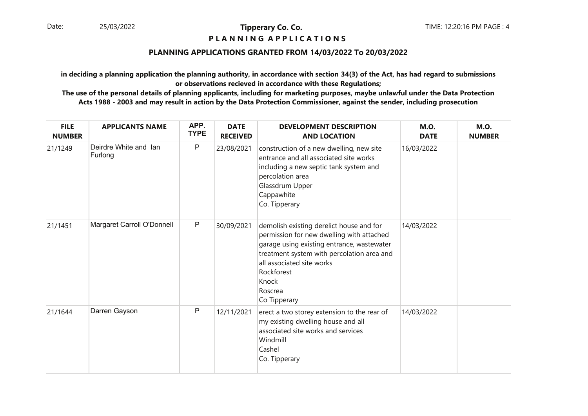# **P L A N N I N G A P P L I C A T I O N S**

# **PLANNING APPLICATIONS GRANTED FROM 14/03/2022 To 20/03/2022**

**in deciding a planning application the planning authority, in accordance with section 34(3) of the Act, has had regard to submissionsor observations recieved in accordance with these Regulations;**

| <b>FILE</b><br><b>NUMBER</b> | <b>APPLICANTS NAME</b>           | APP.<br><b>TYPE</b> | <b>DATE</b><br><b>RECEIVED</b> | <b>DEVELOPMENT DESCRIPTION</b><br><b>AND LOCATION</b>                                                                                                                                                                                                            | <b>M.O.</b><br><b>DATE</b> | <b>M.O.</b><br><b>NUMBER</b> |
|------------------------------|----------------------------------|---------------------|--------------------------------|------------------------------------------------------------------------------------------------------------------------------------------------------------------------------------------------------------------------------------------------------------------|----------------------------|------------------------------|
| 21/1249                      | Deirdre White and Ian<br>Furlong | P                   | 23/08/2021                     | construction of a new dwelling, new site<br>entrance and all associated site works<br>including a new septic tank system and<br>percolation area<br>Glassdrum Upper<br>Cappawhite<br>Co. Tipperary                                                               | 16/03/2022                 |                              |
| 21/1451                      | Margaret Carroll O'Donnell       | $\mathsf{P}$        | 30/09/2021                     | demolish existing derelict house and for<br>permission for new dwelling with attached<br>garage using existing entrance, wastewater<br>treatment system with percolation area and<br>all associated site works<br>Rockforest<br>Knock<br>Roscrea<br>Co Tipperary | 14/03/2022                 |                              |
| 21/1644                      | Darren Gayson                    | P                   | 12/11/2021                     | erect a two storey extension to the rear of<br>my existing dwelling house and all<br>associated site works and services<br>Windmill<br>Cashel<br>Co. Tipperary                                                                                                   | 14/03/2022                 |                              |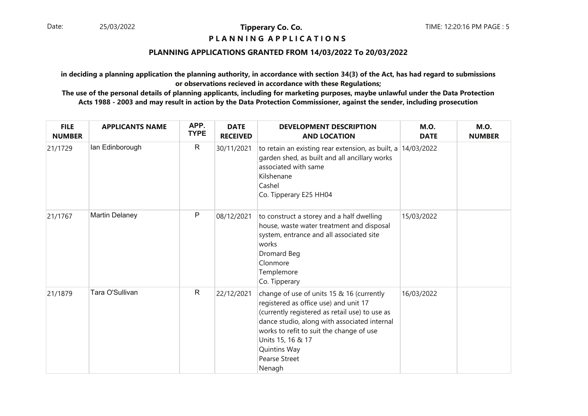# **P L A N N I N G A P P L I C A T I O N S**

# **PLANNING APPLICATIONS GRANTED FROM 14/03/2022 To 20/03/2022**

**in deciding a planning application the planning authority, in accordance with section 34(3) of the Act, has had regard to submissionsor observations recieved in accordance with these Regulations;**

| <b>FILE</b><br><b>NUMBER</b> | <b>APPLICANTS NAME</b> | APP.<br><b>TYPE</b> | <b>DATE</b><br><b>RECEIVED</b> | <b>DEVELOPMENT DESCRIPTION</b><br><b>AND LOCATION</b>                                                                                                                                                                                                                                                   | <b>M.O.</b><br><b>DATE</b> | <b>M.O.</b><br><b>NUMBER</b> |
|------------------------------|------------------------|---------------------|--------------------------------|---------------------------------------------------------------------------------------------------------------------------------------------------------------------------------------------------------------------------------------------------------------------------------------------------------|----------------------------|------------------------------|
| 21/1729                      | lan Edinborough        | $\mathsf{R}$        | 30/11/2021                     | to retain an existing rear extension, as built, a $14/03/2022$<br>garden shed, as built and all ancillary works<br>associated with same<br>Kilshenane<br>Cashel<br>Co. Tipperary E25 HH04                                                                                                               |                            |                              |
| 21/1767                      | <b>Martin Delaney</b>  | P                   | 08/12/2021                     | to construct a storey and a half dwelling<br>house, waste water treatment and disposal<br>system, entrance and all associated site<br>works<br>Dromard Beg<br>Clonmore<br>Templemore<br>Co. Tipperary                                                                                                   | 15/03/2022                 |                              |
| 21/1879                      | Tara O'Sullivan        | $\mathsf{R}$        | 22/12/2021                     | change of use of units 15 & 16 (currently<br>registered as office use) and unit 17<br>(currently registered as retail use) to use as<br>dance studio, along with associated internal<br>works to refit to suit the change of use<br>Units 15, 16 & 17<br>Quintins Way<br><b>Pearse Street</b><br>Nenagh | 16/03/2022                 |                              |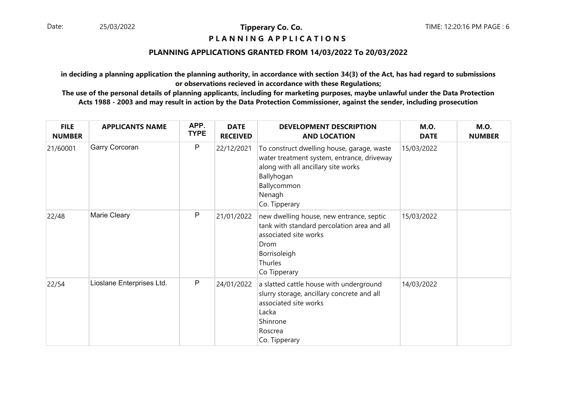# **P L A N N I N G A P P L I C A T I O N S**

# **PLANNING APPLICATIONS GRANTED FROM 14/03/2022 To 20/03/2022**

**in deciding a planning application the planning authority, in accordance with section 34(3) of the Act, has had regard to submissionsor observations recieved in accordance with these Regulations;**

| <b>FILE</b><br><b>NUMBER</b> | <b>APPLICANTS NAME</b>    | APP.<br><b>TYPE</b> | <b>DATE</b><br><b>RECEIVED</b> | <b>DEVELOPMENT DESCRIPTION</b><br><b>AND LOCATION</b>                                                                                                                                   | <b>M.O.</b><br><b>DATE</b> | <b>M.O.</b><br><b>NUMBER</b> |
|------------------------------|---------------------------|---------------------|--------------------------------|-----------------------------------------------------------------------------------------------------------------------------------------------------------------------------------------|----------------------------|------------------------------|
| 21/60001                     | Garry Corcoran            | $\mathsf{P}$        | 22/12/2021                     | To construct dwelling house, garage, waste<br>water treatment system, entrance, driveway<br>along with all ancillary site works<br>Ballyhogan<br>Ballycommon<br>Nenagh<br>Co. Tipperary | 15/03/2022                 |                              |
| 22/48                        | Marie Cleary              | P                   | 21/01/2022                     | new dwelling house, new entrance, septic<br>tank with standard percolation area and all<br>associated site works<br>Drom<br>Borrisoleigh<br>Thurles<br>Co Tipperary                     | 15/03/2022                 |                              |
| 22/54                        | Lioslane Enterprises Ltd. | $\mathsf{P}$        | 24/01/2022                     | a slatted cattle house with underground<br>slurry storage, ancillary concrete and all<br>associated site works<br>Lacka<br>Shinrone<br>Roscrea<br>Co. Tipperary                         | 14/03/2022                 |                              |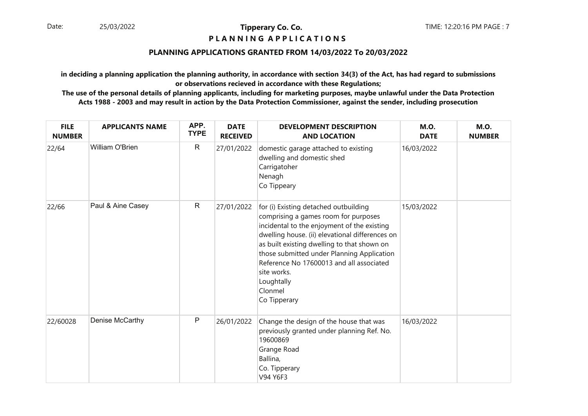# **P L A N N I N G A P P L I C A T I O N S**

# **PLANNING APPLICATIONS GRANTED FROM 14/03/2022 To 20/03/2022**

**in deciding a planning application the planning authority, in accordance with section 34(3) of the Act, has had regard to submissionsor observations recieved in accordance with these Regulations;**

| <b>FILE</b><br><b>NUMBER</b> | <b>APPLICANTS NAME</b> | APP.<br><b>TYPE</b> | <b>DATE</b><br><b>RECEIVED</b> | <b>DEVELOPMENT DESCRIPTION</b><br><b>AND LOCATION</b>                                                                                                                                                                                                                                                                                                                            | <b>M.O.</b><br><b>DATE</b> | <b>M.O.</b><br><b>NUMBER</b> |
|------------------------------|------------------------|---------------------|--------------------------------|----------------------------------------------------------------------------------------------------------------------------------------------------------------------------------------------------------------------------------------------------------------------------------------------------------------------------------------------------------------------------------|----------------------------|------------------------------|
| 22/64                        | William O'Brien        | $\mathsf{R}$        | 27/01/2022                     | domestic garage attached to existing<br>dwelling and domestic shed<br>Carrigatoher<br>Nenagh<br>Co Tippeary                                                                                                                                                                                                                                                                      | 16/03/2022                 |                              |
| 22/66                        | Paul & Aine Casey      | $\mathsf{R}$        | 27/01/2022                     | for (i) Existing detached outbuilding<br>comprising a games room for purposes<br>incidental to the enjoyment of the existing<br>dwelling house. (ii) elevational differences on<br>as built existing dwelling to that shown on<br>those submitted under Planning Application<br>Reference No 17600013 and all associated<br>site works.<br>Loughtally<br>Clonmel<br>Co Tipperary | 15/03/2022                 |                              |
| 22/60028                     | Denise McCarthy        | $\mathsf{P}$        | 26/01/2022                     | Change the design of the house that was<br>previously granted under planning Ref. No.<br>19600869<br>Grange Road<br>Ballina,<br>Co. Tipperary<br>V94 Y6F3                                                                                                                                                                                                                        | 16/03/2022                 |                              |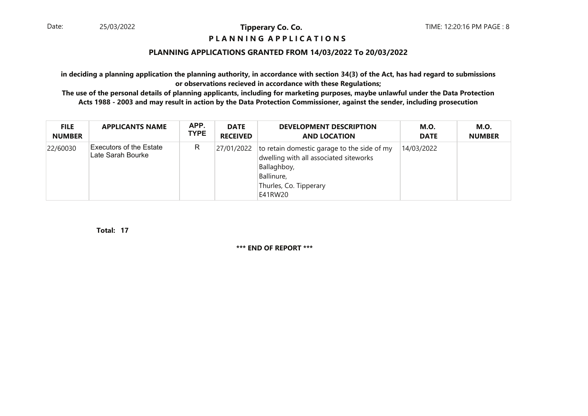# **P L A N N I N G A P P L I C A T I O N S**

# **PLANNING APPLICATIONS GRANTED FROM 14/03/2022 To 20/03/2022**

**in deciding a planning application the planning authority, in accordance with section 34(3) of the Act, has had regard to submissionsor observations recieved in accordance with these Regulations;**

 **The use of the personal details of planning applicants, including for marketing purposes, maybe unlawful under the Data ProtectionActs 1988 - 2003 and may result in action by the Data Protection Commissioner, against the sender, including prosecution**

| <b>FILE</b>   | <b>APPLICANTS NAME</b>                       | APP.        | <b>DATE</b>     | <b>DEVELOPMENT DESCRIPTION</b>                                                                                                                                       | <b>M.O.</b> | M.O.          |
|---------------|----------------------------------------------|-------------|-----------------|----------------------------------------------------------------------------------------------------------------------------------------------------------------------|-------------|---------------|
| <b>NUMBER</b> |                                              | <b>TYPE</b> | <b>RECEIVED</b> | <b>AND LOCATION</b>                                                                                                                                                  | <b>DATE</b> | <b>NUMBER</b> |
| 22/60030      | Executors of the Estate<br>Late Sarah Bourke | R           |                 | $27/01/2022$ to retain domestic garage to the side of my<br>dwelling with all associated siteworks<br>Ballaghboy,<br>Ballinure,<br>Thurles, Co. Tipperary<br>E41RW20 | 14/03/2022  |               |

**17Total:**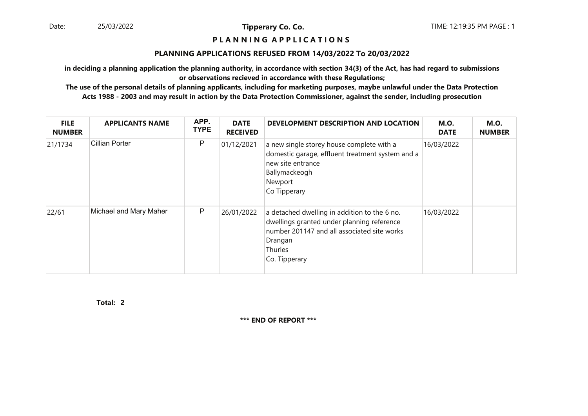### **P L A N N I N G A P P L I C A T I O N S**

#### **PLANNING APPLICATIONS REFUSED FROM 14/03/2022 To 20/03/2022**

**in deciding a planning application the planning authority, in accordance with section 34(3) of the Act, has had regard to submissionsor observations recieved in accordance with these Regulations;**

 **The use of the personal details of planning applicants, including for marketing purposes, maybe unlawful under the Data ProtectionActs 1988 - 2003 and may result in action by the Data Protection Commissioner, against the sender, including prosecution**

| <b>FILE</b><br><b>NUMBER</b> | <b>APPLICANTS NAME</b> | APP.<br><b>TYPE</b> | <b>DATE</b><br><b>RECEIVED</b> | DEVELOPMENT DESCRIPTION AND LOCATION                                                                                                                                             | <b>M.O.</b><br><b>DATE</b> | <b>M.O.</b><br><b>NUMBER</b> |
|------------------------------|------------------------|---------------------|--------------------------------|----------------------------------------------------------------------------------------------------------------------------------------------------------------------------------|----------------------------|------------------------------|
| 21/1734                      | Cillian Porter         | P                   | 01/12/2021                     | a new single storey house complete with a<br>domestic garage, effluent treatment system and a<br>new site entrance<br>Ballymackeogh<br>Newport<br>Co Tipperary                   | 16/03/2022                 |                              |
| 22/61                        | Michael and Mary Maher | P                   | 26/01/2022                     | a detached dwelling in addition to the 6 no.<br>dwellings granted under planning reference<br>number 201147 and all associated site works<br>Drangan<br>Thurles<br>Co. Tipperary | 16/03/2022                 |                              |

**2Total:**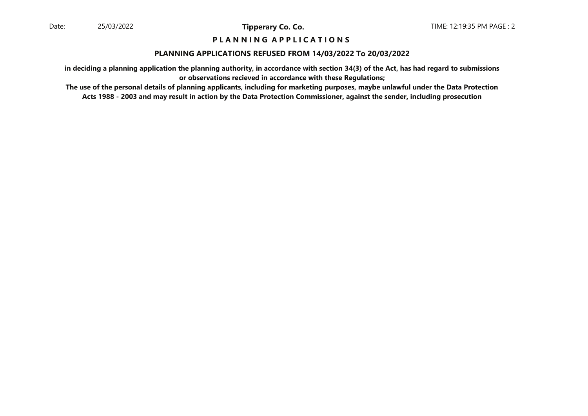# **P L A N N I N G A P P L I C A T I O N S**

#### **PLANNING APPLICATIONS REFUSED FROM 14/03/2022 To 20/03/2022**

**in deciding a planning application the planning authority, in accordance with section 34(3) of the Act, has had regard to submissionsor observations recieved in accordance with these Regulations;**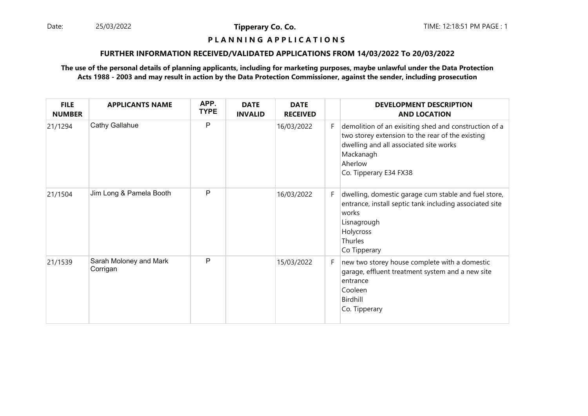Date: 25/03/2022 **Tipperary Co. Co. The Co. Co.** TIME: 12:18:51 PM PAGE : 1 25/03/2022

**Tipperary Co. Co.**

# **P L A N N I N G A P P L I C A T I O N S**

### **FURTHER INFORMATION RECEIVED/VALIDATED APPLICATIONS FROM 14/03/2022 To 20/03/2022**

| <b>FILE</b><br><b>NUMBER</b> | <b>APPLICANTS NAME</b>             | APP.<br><b>TYPE</b> | <b>DATE</b><br><b>INVALID</b> | <b>DATE</b><br><b>RECEIVED</b> |    | <b>DEVELOPMENT DESCRIPTION</b><br><b>AND LOCATION</b>                                                                                                                                                 |
|------------------------------|------------------------------------|---------------------|-------------------------------|--------------------------------|----|-------------------------------------------------------------------------------------------------------------------------------------------------------------------------------------------------------|
| 21/1294                      | <b>Cathy Gallahue</b>              | P                   |                               | 16/03/2022                     | F. | demolition of an exisiting shed and construction of a<br>two storey extension to the rear of the existing<br>dwelling and all associated site works<br>Mackanagh<br>Aherlow<br>Co. Tipperary E34 FX38 |
| 21/1504                      | Jim Long & Pamela Booth            | P                   |                               | 16/03/2022                     | F. | dwelling, domestic garage cum stable and fuel store,<br>entrance, install septic tank including associated site<br>works<br>Lisnagrough<br>Holycross<br>Thurles<br>Co Tipperary                       |
| 21/1539                      | Sarah Moloney and Mark<br>Corrigan | P                   |                               | 15/03/2022                     | F. | new two storey house complete with a domestic<br>garage, effluent treatment system and a new site<br>entrance<br>Cooleen<br>Birdhill<br>Co. Tipperary                                                 |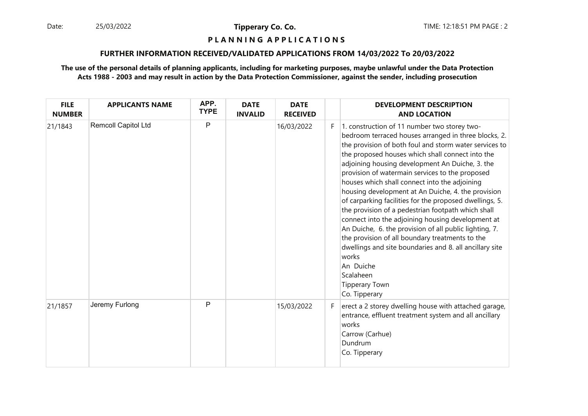25/03/2022

**Tipperary Co. Co.**

#### **P L A N N I N G A P P L I C A T I O N S**

### **FURTHER INFORMATION RECEIVED/VALIDATED APPLICATIONS FROM 14/03/2022 To 20/03/2022**

| <b>FILE</b><br><b>NUMBER</b> | <b>APPLICANTS NAME</b> | APP.<br><b>TYPE</b> | <b>DATE</b><br><b>INVALID</b> | <b>DATE</b><br><b>RECEIVED</b> |    | <b>DEVELOPMENT DESCRIPTION</b><br><b>AND LOCATION</b>                                                                                                                                                                                                                                                                                                                                                                                                                                                                                                                                                                                                                                                                                                                                                                                                      |
|------------------------------|------------------------|---------------------|-------------------------------|--------------------------------|----|------------------------------------------------------------------------------------------------------------------------------------------------------------------------------------------------------------------------------------------------------------------------------------------------------------------------------------------------------------------------------------------------------------------------------------------------------------------------------------------------------------------------------------------------------------------------------------------------------------------------------------------------------------------------------------------------------------------------------------------------------------------------------------------------------------------------------------------------------------|
| 21/1843                      | Remcoll Capitol Ltd    | P                   |                               | 16/03/2022                     | F. | 1. construction of 11 number two storey two-<br>bedroom terraced houses arranged in three blocks, 2.<br>the provision of both foul and storm water services to<br>the proposed houses which shall connect into the<br>adjoining housing development An Duiche, 3. the<br>provision of watermain services to the proposed<br>houses which shall connect into the adjoining<br>housing development at An Duiche, 4. the provision<br>of carparking facilities for the proposed dwellings, 5.<br>the provision of a pedestrian footpath which shall<br>connect into the adjoining housing development at<br>An Duiche, 6. the provision of all public lighting, 7.<br>the provision of all boundary treatments to the<br>dwellings and site boundaries and 8. all ancillary site<br>works<br>An Duiche<br>Scalaheen<br><b>Tipperary Town</b><br>Co. Tipperary |
| 21/1857                      | Jeremy Furlong         | P                   |                               | 15/03/2022                     | F. | erect a 2 storey dwelling house with attached garage,<br>entrance, effluent treatment system and all ancillary<br>works<br>Carrow (Carhue)<br>Dundrum<br>Co. Tipperary                                                                                                                                                                                                                                                                                                                                                                                                                                                                                                                                                                                                                                                                                     |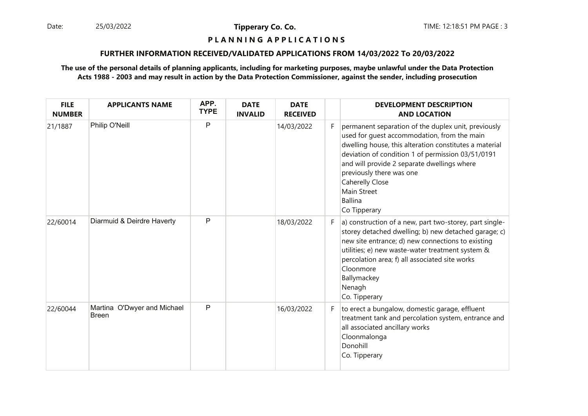25/03/2022

**Tipperary Co. Co.**

# **P L A N N I N G A P P L I C A T I O N S**

### **FURTHER INFORMATION RECEIVED/VALIDATED APPLICATIONS FROM 14/03/2022 To 20/03/2022**

| <b>FILE</b><br><b>NUMBER</b> | <b>APPLICANTS NAME</b>                      | APP.<br><b>TYPE</b> | <b>DATE</b><br><b>INVALID</b> | <b>DATE</b><br><b>RECEIVED</b> |    | <b>DEVELOPMENT DESCRIPTION</b><br><b>AND LOCATION</b>                                                                                                                                                                                                                                                                                                            |
|------------------------------|---------------------------------------------|---------------------|-------------------------------|--------------------------------|----|------------------------------------------------------------------------------------------------------------------------------------------------------------------------------------------------------------------------------------------------------------------------------------------------------------------------------------------------------------------|
| 21/1887                      | Philip O'Neill                              | P                   |                               | 14/03/2022                     | F. | permanent separation of the duplex unit, previously<br>used for quest accommodation, from the main<br>dwelling house, this alteration constitutes a material<br>deviation of condition 1 of permission 03/51/0191<br>and will provide 2 separate dwellings where<br>previously there was one<br>Caherelly Close<br>Main Street<br><b>Ballina</b><br>Co Tipperary |
| 22/60014                     | Diarmuid & Deirdre Haverty                  | P                   |                               | 18/03/2022                     | F. | a) construction of a new, part two-storey, part single-<br>storey detached dwelling; b) new detached garage; c)<br>new site entrance; d) new connections to existing<br>utilities; e) new waste-water treatment system &<br>percolation area; f) all associated site works<br>Cloonmore<br>Ballymackey<br>Nenagh<br>Co. Tipperary                                |
| 22/60044                     | Martina O'Dwyer and Michael<br><b>Breen</b> | P                   |                               | 16/03/2022                     | F. | to erect a bungalow, domestic garage, effluent<br>treatment tank and percolation system, entrance and<br>all associated ancillary works<br>Cloonmalonga<br>Donohill<br>Co. Tipperary                                                                                                                                                                             |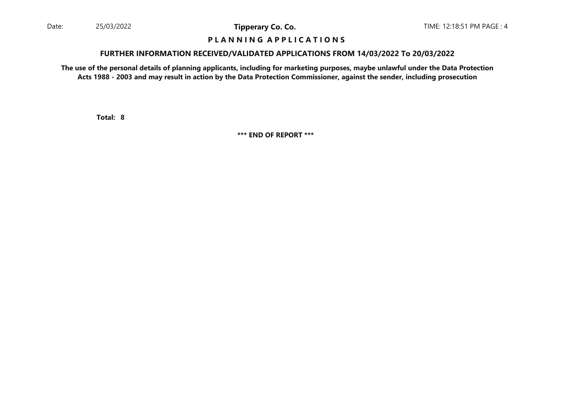## **P L A N N I N G A P P L I C A T I O N S**

#### **FURTHER INFORMATION RECEIVED/VALIDATED APPLICATIONS FROM 14/03/2022 To 20/03/2022**

**The use of the personal details of planning applicants, including for marketing purposes, maybe unlawful under the Data ProtectionActs 1988 - 2003 and may result in action by the Data Protection Commissioner, against the sender, including prosecution**

**8Total:**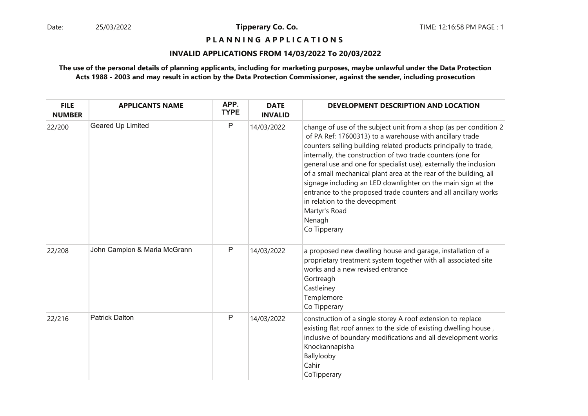**P L A N N I N G A P P L I C A T I O N S** 

# **INVALID APPLICATIONS FROM 14/03/2022 To 20/03/2022**

| <b>FILE</b><br><b>NUMBER</b> | <b>APPLICANTS NAME</b>       | APP.<br><b>TYPE</b> | <b>DATE</b><br><b>INVALID</b> | DEVELOPMENT DESCRIPTION AND LOCATION                                                                                                                                                                                                                                                                                                                                                                                                                                                                                                                                                                                      |
|------------------------------|------------------------------|---------------------|-------------------------------|---------------------------------------------------------------------------------------------------------------------------------------------------------------------------------------------------------------------------------------------------------------------------------------------------------------------------------------------------------------------------------------------------------------------------------------------------------------------------------------------------------------------------------------------------------------------------------------------------------------------------|
| 22/200                       | Geared Up Limited            | P                   | 14/03/2022                    | change of use of the subject unit from a shop (as per condition 2<br>of PA Ref: 17600313) to a warehouse with ancillary trade<br>counters selling building related products principally to trade,<br>internally, the construction of two trade counters (one for<br>general use and one for specialist use), externally the inclusion<br>of a small mechanical plant area at the rear of the building, all<br>signage including an LED downlighter on the main sign at the<br>entrance to the proposed trade counters and all ancillary works<br>in relation to the deveopment<br>Martyr's Road<br>Nenagh<br>Co Tipperary |
| 22/208                       | John Campion & Maria McGrann | P                   | 14/03/2022                    | a proposed new dwelling house and garage, installation of a<br>proprietary treatment system together with all associated site<br>works and a new revised entrance<br>Gortreagh<br>Castleiney<br>Templemore<br>Co Tipperary                                                                                                                                                                                                                                                                                                                                                                                                |
| 22/216                       | <b>Patrick Dalton</b>        | P                   | 14/03/2022                    | construction of a single storey A roof extension to replace<br>existing flat roof annex to the side of existing dwelling house,<br>inclusive of boundary modifications and all development works<br>Knockannapisha<br>Ballylooby<br>Cahir<br>CoTipperary                                                                                                                                                                                                                                                                                                                                                                  |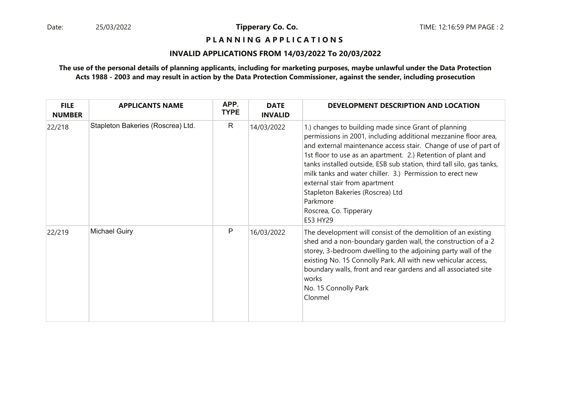**P L A N N I N G A P P L I C A T I O N S** 

# **INVALID APPLICATIONS FROM 14/03/2022 To 20/03/2022**

| <b>FILE</b><br><b>NUMBER</b> | <b>APPLICANTS NAME</b>            | APP.<br><b>TYPE</b> | <b>DATE</b><br><b>INVALID</b> | DEVELOPMENT DESCRIPTION AND LOCATION                                                                                                                                                                                                                                                                                                                                                                                                                                                                                    |
|------------------------------|-----------------------------------|---------------------|-------------------------------|-------------------------------------------------------------------------------------------------------------------------------------------------------------------------------------------------------------------------------------------------------------------------------------------------------------------------------------------------------------------------------------------------------------------------------------------------------------------------------------------------------------------------|
| 22/218                       | Stapleton Bakeries (Roscrea) Ltd. | $\mathsf{R}$        | 14/03/2022                    | 1.) changes to building made since Grant of planning<br>permissions in 2001, including additional mezzanine floor area,<br>and external maintenance access stair. Change of use of part of<br>1st floor to use as an apartment. 2.) Retention of plant and<br>tanks installed outside, ESB sub station, third tall silo, gas tanks,<br>milk tanks and water chiller. 3.) Permission to erect new<br>external stair from apartment<br>Stapleton Bakeries (Roscrea) Ltd<br>Parkmore<br>Roscrea, Co. Tipperary<br>E53 HY29 |
| 22/219                       | <b>Michael Guiry</b>              | P                   | 16/03/2022                    | The development will consist of the demolition of an existing<br>shed and a non-boundary garden wall, the construction of a 2<br>storey, 3-bedroom dwelling to the adjoining party wall of the<br>existing No. 15 Connolly Park. All with new vehicular access,<br>boundary walls, front and rear gardens and all associated site<br>works<br>No. 15 Connolly Park<br>Clonmel                                                                                                                                           |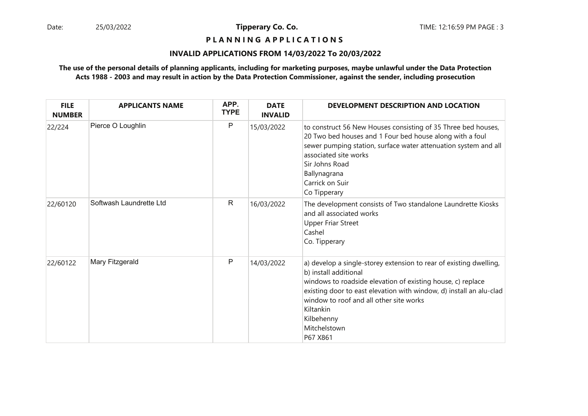# **P L A N N I N G A P P L I C A T I O N S**

# **INVALID APPLICATIONS FROM 14/03/2022 To 20/03/2022**

| <b>FILE</b><br><b>NUMBER</b> | <b>APPLICANTS NAME</b>  | APP.<br><b>TYPE</b> | <b>DATE</b><br><b>INVALID</b> | DEVELOPMENT DESCRIPTION AND LOCATION                                                                                                                                                                                                                                                                                                |
|------------------------------|-------------------------|---------------------|-------------------------------|-------------------------------------------------------------------------------------------------------------------------------------------------------------------------------------------------------------------------------------------------------------------------------------------------------------------------------------|
| 22/224                       | Pierce O Loughlin       | P                   | 15/03/2022                    | to construct 56 New Houses consisting of 35 Three bed houses,<br>20 Two bed houses and 1 Four bed house along with a foul<br>sewer pumping station, surface water attenuation system and all<br>associated site works<br>Sir Johns Road<br>Ballynagrana<br>Carrick on Suir<br>Co Tipperary                                          |
| 22/60120                     | Softwash Laundrette Ltd | $\mathsf{R}$        | 16/03/2022                    | The development consists of Two standalone Laundrette Kiosks<br>and all associated works<br><b>Upper Friar Street</b><br>Cashel<br>Co. Tipperary                                                                                                                                                                                    |
| 22/60122                     | Mary Fitzgerald         | P                   | 14/03/2022                    | a) develop a single-storey extension to rear of existing dwelling,<br>b) install additional<br>windows to roadside elevation of existing house, c) replace<br>existing door to east elevation with window, d) install an alu-clad<br>window to roof and all other site works<br>Kiltankin<br>Kilbehenny<br>Mitchelstown<br>P67 X861 |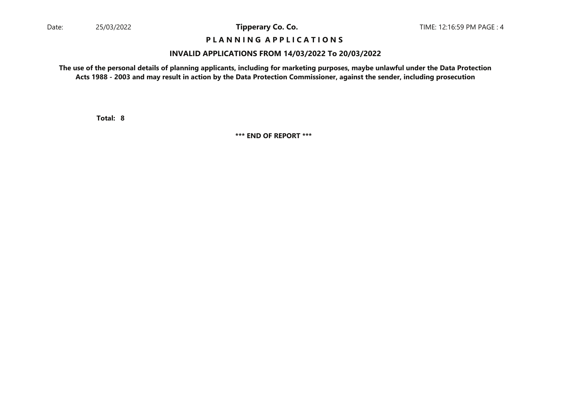# **P L A N N I N G A P P L I C A T I O N S**

### **INVALID APPLICATIONS FROM 14/03/2022 To 20/03/2022**

**The use of the personal details of planning applicants, including for marketing purposes, maybe unlawful under the Data ProtectionActs 1988 - 2003 and may result in action by the Data Protection Commissioner, against the sender, including prosecution**

**8Total:**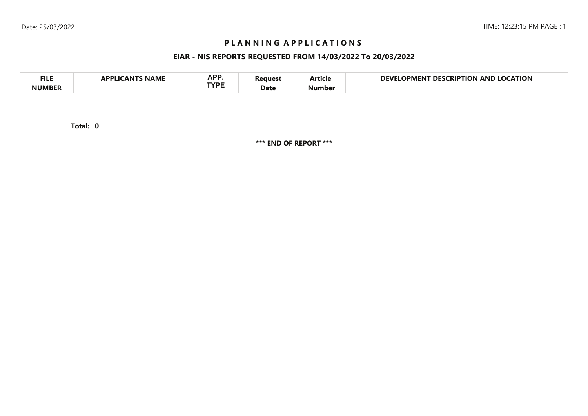# **P L A N N I N G A P P L I C A T I O N S**

# **EIAR - NIS REPORTS REQUESTED FROM 14/03/2022 To 20/03/2022**

| <b>FILE</b> | <b>NAME</b><br>A DDI IC<br>л NI | <b>ADD</b><br>NF I<br>TVDC | 'eaues' | - -<br>Article | <b>LOCATION</b><br>DEVI<br><b>LOCKIPTION</b><br>DES<br>OPMENT<br>AND |
|-------------|---------------------------------|----------------------------|---------|----------------|----------------------------------------------------------------------|
| NIIMRFR     |                                 |                            | Date    | Number         |                                                                      |

**0Total:**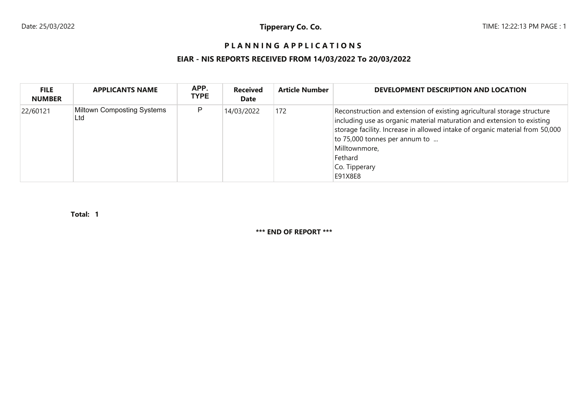# PLANNING APPLICATIONS

# **EIAR - NIS REPORTS RECEIVED FROM 14/03/2022 To 20/03/2022**

| <b>FILE</b><br><b>NUMBER</b> | <b>APPLICANTS NAME</b>                   | APP.<br><b>TYPE</b> | <b>Received</b><br>Date | <b>Article Number</b> | DEVELOPMENT DESCRIPTION AND LOCATION                                                                                                                                                                                                                                                                                       |
|------------------------------|------------------------------------------|---------------------|-------------------------|-----------------------|----------------------------------------------------------------------------------------------------------------------------------------------------------------------------------------------------------------------------------------------------------------------------------------------------------------------------|
| 22/60121                     | <b>Miltown Composting Systems</b><br>Ltd | P                   | 14/03/2022              | 172                   | Reconstruction and extension of existing agricultural storage structure<br>including use as organic material maturation and extension to existing<br>storage facility. Increase in allowed intake of organic material from 50,000<br>to 75,000 tonnes per annum to<br>Milltownmore,<br>Fethard<br>Co. Tipperary<br>E91X8E8 |

**1Total:**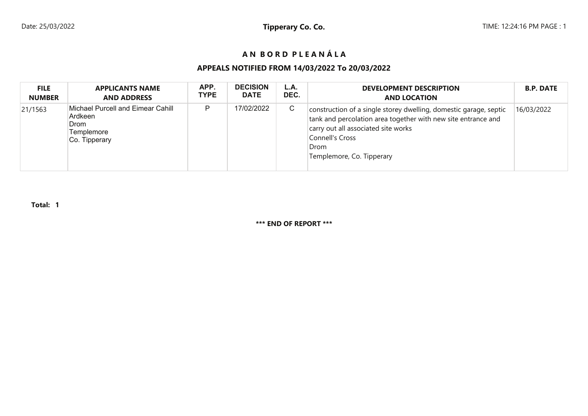# **A N B O R D P L E A N Á L A**

# **APPEALS NOTIFIED FROM 14/03/2022 To 20/03/2022**

| <b>FILE</b>   | <b>APPLICANTS NAME</b>                                                              | APP.        | <b>DECISION</b> | L.A. | <b>DEVELOPMENT DESCRIPTION</b>                                                                                                                                                                                                    | <b>B.P. DATE</b> |
|---------------|-------------------------------------------------------------------------------------|-------------|-----------------|------|-----------------------------------------------------------------------------------------------------------------------------------------------------------------------------------------------------------------------------------|------------------|
| <b>NUMBER</b> | <b>AND ADDRESS</b>                                                                  | <b>TYPE</b> | <b>DATE</b>     | DEC. | <b>AND LOCATION</b>                                                                                                                                                                                                               |                  |
| 21/1563       | Michael Purcell and Eimear Cahill<br>Ardkeen<br>Drom<br>Templemore<br>Co. Tipperary | D           | 17/02/2022      | C    | construction of a single storey dwelling, domestic garage, septic<br>tank and percolation area together with new site entrance and<br>carry out all associated site works<br>Connell's Cross<br>Drom<br>Templemore, Co. Tipperary | 16/03/2022       |

**Total: 1**